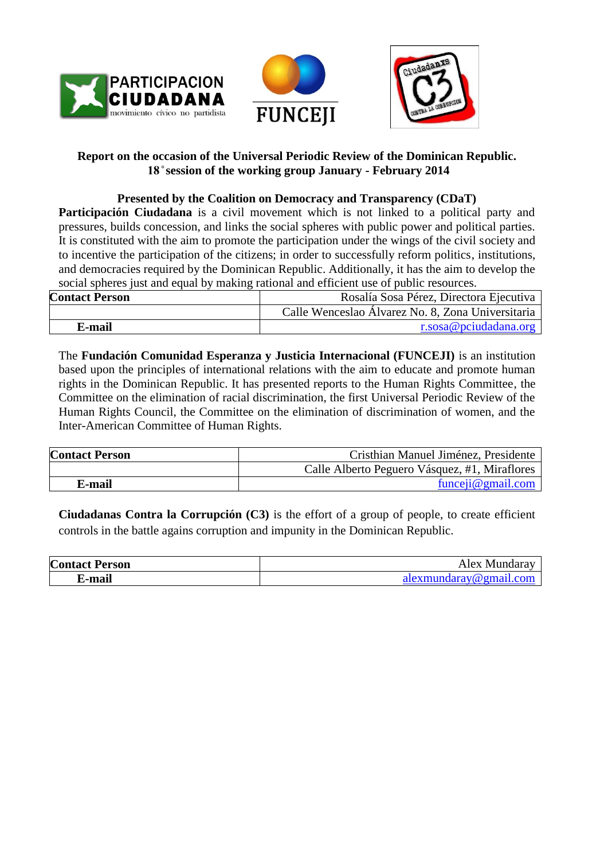





# **Report on the occasion of the Universal Periodic Review of the Dominican Republic. session of the working group January - February 2014**

# **Presented by the Coalition on Democracy and Transparency (CDaT)**

**Participación Ciudadana** is a civil movement which is not linked to a political party and pressures, builds concession, and links the social spheres with public power and political parties. It is constituted with the aim to promote the participation under the wings of the civil society and to incentive the participation of the citizens; in order to successfully reform politics, institutions, and democracies required by the Dominican Republic. Additionally, it has the aim to develop the social spheres just and equal by making rational and efficient use of public resources.

| <b>Contact Person</b> | Rosalía Sosa Pérez, Directora Ejecutiva           |
|-----------------------|---------------------------------------------------|
|                       | Calle Wenceslao Álvarez No. 8, Zona Universitaria |
| ∑-mail                | r. sosa@pciudadana.org                            |

The **Fundación Comunidad Esperanza y Justicia Internacional (FUNCEJI)** is an institution based upon the principles of international relations with the aim to educate and promote human rights in the Dominican Republic. It has presented reports to the Human Rights Committee, the Committee on the elimination of racial discrimination, the first Universal Periodic Review of the Human Rights Council, the Committee on the elimination of discrimination of women, and the Inter-American Committee of Human Rights.

| <b>Contact Person</b> | Cristhian Manuel Jiménez, Presidente          |
|-----------------------|-----------------------------------------------|
|                       | Calle Alberto Peguero Vásquez, #1, Miraflores |
| E-mail                | funceji@gmail.                                |

**Ciudadanas Contra la Corrupción (C3)** is the effort of a group of people, to create efficient controls in the battle agains corruption and impunity in the Dominican Republic.

| <b>Contact Person</b> | Alex<br>. Mundarav     |
|-----------------------|------------------------|
| .mai'                 | alexmundaray@omail.com |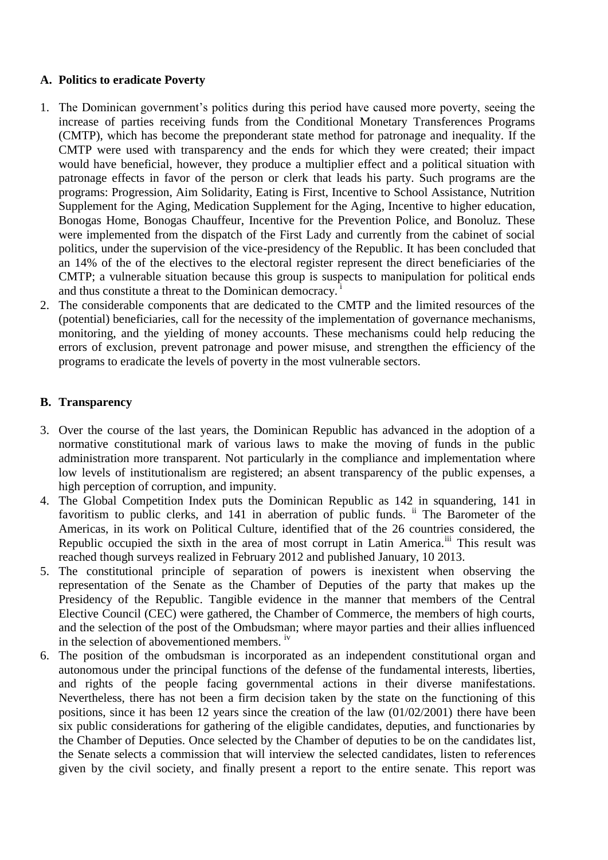## **A. Politics to eradicate Poverty**

- 1. The Dominican government's politics during this period have caused more poverty, seeing the increase of parties receiving funds from the Conditional Monetary Transferences Programs (CMTP), which has become the preponderant state method for patronage and inequality. If the CMTP were used with transparency and the ends for which they were created; their impact would have beneficial, however, they produce a multiplier effect and a political situation with patronage effects in favor of the person or clerk that leads his party. Such programs are the programs: Progression, Aim Solidarity, Eating is First, Incentive to School Assistance, Nutrition Supplement for the Aging, Medication Supplement for the Aging, Incentive to higher education, Bonogas Home, Bonogas Chauffeur, Incentive for the Prevention Police, and Bonoluz. These were implemented from the dispatch of the First Lady and currently from the cabinet of social politics, under the supervision of the vice-presidency of the Republic. It has been concluded that an 14% of the of the electives to the electoral register represent the direct beneficiaries of the CMTP; a vulnerable situation because this group is suspects to manipulation for political ends and thus constitute a threat to the Dominican democracy.
- 2. The considerable components that are dedicated to the CMTP and the limited resources of the (potential) beneficiaries, call for the necessity of the implementation of governance mechanisms, monitoring, and the yielding of money accounts. These mechanisms could help reducing the errors of exclusion, prevent patronage and power misuse, and strengthen the efficiency of the programs to eradicate the levels of poverty in the most vulnerable sectors.

## **B. Transparency**

- 3. Over the course of the last years, the Dominican Republic has advanced in the adoption of a normative constitutional mark of various laws to make the moving of funds in the public administration more transparent. Not particularly in the compliance and implementation where low levels of institutionalism are registered; an absent transparency of the public expenses, a high perception of corruption, and impunity.
- 4. The Global Competition Index puts the Dominican Republic as 142 in squandering, 141 in favoritism to public clerks, and 141 in aberration of public funds. <sup>ii</sup> The Barometer of the Americas, in its work on Political Culture, identified that of the 26 countries considered, the Republic occupied the sixth in the area of most corrupt in Latin America.<sup>iii</sup> This result was reached though surveys realized in February 2012 and published January, 10 2013.
- 5. The constitutional principle of separation of powers is inexistent when observing the representation of the Senate as the Chamber of Deputies of the party that makes up the Presidency of the Republic. Tangible evidence in the manner that members of the Central Elective Council (CEC) were gathered, the Chamber of Commerce, the members of high courts, and the selection of the post of the Ombudsman; where mayor parties and their allies influenced in the selection of abovementioned members. iv
- 6. The position of the ombudsman is incorporated as an independent constitutional organ and autonomous under the principal functions of the defense of the fundamental interests, liberties, and rights of the people facing governmental actions in their diverse manifestations. Nevertheless, there has not been a firm decision taken by the state on the functioning of this positions, since it has been 12 years since the creation of the law (01/02/2001) there have been six public considerations for gathering of the eligible candidates, deputies, and functionaries by the Chamber of Deputies. Once selected by the Chamber of deputies to be on the candidates list, the Senate selects a commission that will interview the selected candidates, listen to references given by the civil society, and finally present a report to the entire senate. This report was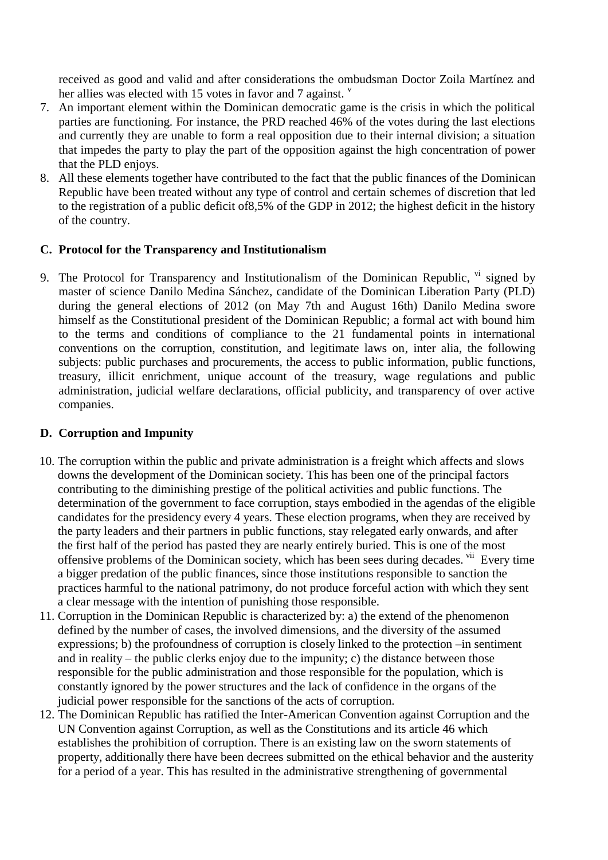received as good and valid and after considerations the ombudsman Doctor Zoila Martínez and her allies was elected with 15 votes in favor and 7 against.  $\frac{v}{x}$ 

- 7. An important element within the Dominican democratic game is the crisis in which the political parties are functioning. For instance, the PRD reached 46% of the votes during the last elections and currently they are unable to form a real opposition due to their internal division; a situation that impedes the party to play the part of the opposition against the high concentration of power that the PLD enjoys.
- 8. All these elements together have contributed to the fact that the public finances of the Dominican Republic have been treated without any type of control and certain schemes of discretion that led to the registration of a public deficit of8,5% of the GDP in 2012; the highest deficit in the history of the country.

## **C. Protocol for the Transparency and Institutionalism**

9. The Protocol for Transparency and Institutionalism of the Dominican Republic,  $\frac{v_i}{v}$  signed by master of science Danilo Medina Sánchez, candidate of the Dominican Liberation Party (PLD) during the general elections of 2012 (on May 7th and August 16th) Danilo Medina swore himself as the Constitutional president of the Dominican Republic; a formal act with bound him to the terms and conditions of compliance to the 21 fundamental points in international conventions on the corruption, constitution, and legitimate laws on, inter alia, the following subjects: public purchases and procurements, the access to public information, public functions, treasury, illicit enrichment, unique account of the treasury, wage regulations and public administration, judicial welfare declarations, official publicity, and transparency of over active companies.

## **D. Corruption and Impunity**

- 10. The corruption within the public and private administration is a freight which affects and slows downs the development of the Dominican society. This has been one of the principal factors contributing to the diminishing prestige of the political activities and public functions. The determination of the government to face corruption, stays embodied in the agendas of the eligible candidates for the presidency every 4 years. These election programs, when they are received by the party leaders and their partners in public functions, stay relegated early onwards, and after the first half of the period has pasted they are nearly entirely buried. This is one of the most offensive problems of the Dominican society, which has been sees during decades. <sup>vii</sup> Every time a bigger predation of the public finances, since those institutions responsible to sanction the practices harmful to the national patrimony, do not produce forceful action with which they sent a clear message with the intention of punishing those responsible.
- 11. Corruption in the Dominican Republic is characterized by: a) the extend of the phenomenon defined by the number of cases, the involved dimensions, and the diversity of the assumed expressions; b) the profoundness of corruption is closely linked to the protection –in sentiment and in reality – the public clerks enjoy due to the impunity; c) the distance between those responsible for the public administration and those responsible for the population, which is constantly ignored by the power structures and the lack of confidence in the organs of the judicial power responsible for the sanctions of the acts of corruption.
- 12. The Dominican Republic has ratified the Inter-American Convention against Corruption and the UN Convention against Corruption, as well as the Constitutions and its article 46 which establishes the prohibition of corruption. There is an existing law on the sworn statements of property, additionally there have been decrees submitted on the ethical behavior and the austerity for a period of a year. This has resulted in the administrative strengthening of governmental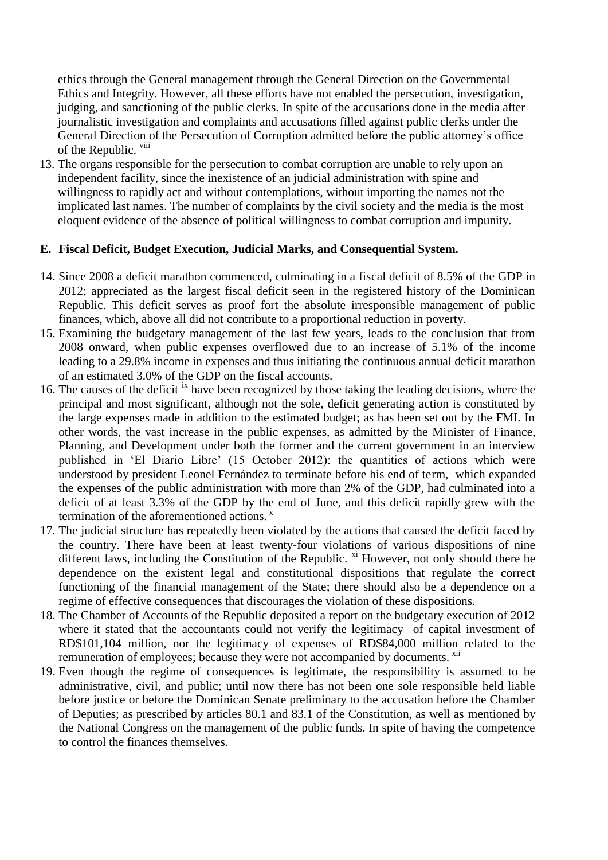ethics through the General management through the General Direction on the Governmental Ethics and Integrity. However, all these efforts have not enabled the persecution, investigation, judging, and sanctioning of the public clerks. In spite of the accusations done in the media after journalistic investigation and complaints and accusations filled against public clerks under the General Direction of the Persecution of Corruption admitted before the public attorney's office of the Republic.  $viii$ 

13. The organs responsible for the persecution to combat corruption are unable to rely upon an independent facility, since the inexistence of an judicial administration with spine and willingness to rapidly act and without contemplations, without importing the names not the implicated last names. The number of complaints by the civil society and the media is the most eloquent evidence of the absence of political willingness to combat corruption and impunity.

## **E. Fiscal Deficit, Budget Execution, Judicial Marks, and Consequential System.**

- 14. Since 2008 a deficit marathon commenced, culminating in a fiscal deficit of 8.5% of the GDP in 2012; appreciated as the largest fiscal deficit seen in the registered history of the Dominican Republic. This deficit serves as proof fort the absolute irresponsible management of public finances, which, above all did not contribute to a proportional reduction in poverty.
- 15. Examining the budgetary management of the last few years, leads to the conclusion that from 2008 onward, when public expenses overflowed due to an increase of 5.1% of the income leading to a 29.8% income in expenses and thus initiating the continuous annual deficit marathon of an estimated 3.0% of the GDP on the fiscal accounts.
- 16. The causes of the deficit <sup>ix</sup> have been recognized by those taking the leading decisions, where the principal and most significant, although not the sole, deficit generating action is constituted by the large expenses made in addition to the estimated budget; as has been set out by the FMI. In other words, the vast increase in the public expenses, as admitted by the Minister of Finance, Planning, and Development under both the former and the current government in an interview published in 'El Diario Libre' (15 October 2012): the quantities of actions which were understood by president Leonel Fernández to terminate before his end of term, which expanded the expenses of the public administration with more than 2% of the GDP, had culminated into a deficit of at least 3.3% of the GDP by the end of June, and this deficit rapidly grew with the termination of the aforementioned actions. $x$
- 17. The judicial structure has repeatedly been violated by the actions that caused the deficit faced by the country. There have been at least twenty-four violations of various dispositions of nine different laws, including the Constitution of the Republic.  $\frac{x_i}{x_i}$  However, not only should there be dependence on the existent legal and constitutional dispositions that regulate the correct functioning of the financial management of the State; there should also be a dependence on a regime of effective consequences that discourages the violation of these dispositions.
- 18. The Chamber of Accounts of the Republic deposited a report on the budgetary execution of 2012 where it stated that the accountants could not verify the legitimacy of capital investment of RD\$101,104 million, nor the legitimacy of expenses of RD\$84,000 million related to the remuneration of employees; because they were not accompanied by documents. <sup>xii</sup>
- 19. Even though the regime of consequences is legitimate, the responsibility is assumed to be administrative, civil, and public; until now there has not been one sole responsible held liable before justice or before the Dominican Senate preliminary to the accusation before the Chamber of Deputies; as prescribed by articles 80.1 and 83.1 of the Constitution, as well as mentioned by the National Congress on the management of the public funds. In spite of having the competence to control the finances themselves.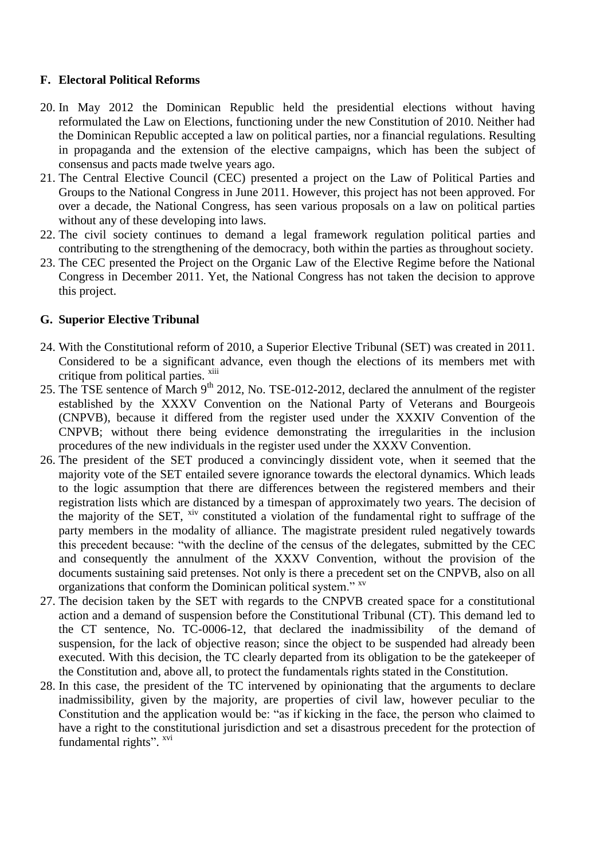## **F. Electoral Political Reforms**

- 20. In May 2012 the Dominican Republic held the presidential elections without having reformulated the Law on Elections, functioning under the new Constitution of 2010. Neither had the Dominican Republic accepted a law on political parties, nor a financial regulations. Resulting in propaganda and the extension of the elective campaigns, which has been the subject of consensus and pacts made twelve years ago.
- 21. The Central Elective Council (CEC) presented a project on the Law of Political Parties and Groups to the National Congress in June 2011. However, this project has not been approved. For over a decade, the National Congress, has seen various proposals on a law on political parties without any of these developing into laws.
- 22. The civil society continues to demand a legal framework regulation political parties and contributing to the strengthening of the democracy, both within the parties as throughout society.
- 23. The CEC presented the Project on the Organic Law of the Elective Regime before the National Congress in December 2011. Yet, the National Congress has not taken the decision to approve this project.

#### **G. Superior Elective Tribunal**

- 24. With the Constitutional reform of 2010, a Superior Elective Tribunal (SET) was created in 2011. Considered to be a significant advance, even though the elections of its members met with critique from political parties. <sup>xiii</sup>
- 25. The TSE sentence of March 9<sup>th</sup> 2012, No. TSE-012-2012, declared the annulment of the register established by the XXXV Convention on the National Party of Veterans and Bourgeois (CNPVB), because it differed from the register used under the XXXIV Convention of the CNPVB; without there being evidence demonstrating the irregularities in the inclusion procedures of the new individuals in the register used under the XXXV Convention.
- 26. The president of the SET produced a convincingly dissident vote, when it seemed that the majority vote of the SET entailed severe ignorance towards the electoral dynamics. Which leads to the logic assumption that there are differences between the registered members and their registration lists which are distanced by a timespan of approximately two years. The decision of the majority of the SET, <sup>xiv</sup> constituted a violation of the fundamental right to suffrage of the party members in the modality of alliance. The magistrate president ruled negatively towards this precedent because: "with the decline of the census of the delegates, submitted by the CEC and consequently the annulment of the XXXV Convention, without the provision of the documents sustaining said pretenses. Not only is there a precedent set on the CNPVB, also on all organizations that conform the Dominican political system." <sup>xv</sup>
- 27. The decision taken by the SET with regards to the CNPVB created space for a constitutional action and a demand of suspension before the Constitutional Tribunal (CT). This demand led to the CT sentence, No. TC-0006-12, that declared the inadmissibility of the demand of suspension, for the lack of objective reason; since the object to be suspended had already been executed. With this decision, the TC clearly departed from its obligation to be the gatekeeper of the Constitution and, above all, to protect the fundamentals rights stated in the Constitution.
- 28. In this case, the president of the TC intervened by opinionating that the arguments to declare inadmissibility, given by the majority, are properties of civil law, however peculiar to the Constitution and the application would be: "as if kicking in the face, the person who claimed to have a right to the constitutional jurisdiction and set a disastrous precedent for the protection of fundamental rights". XVI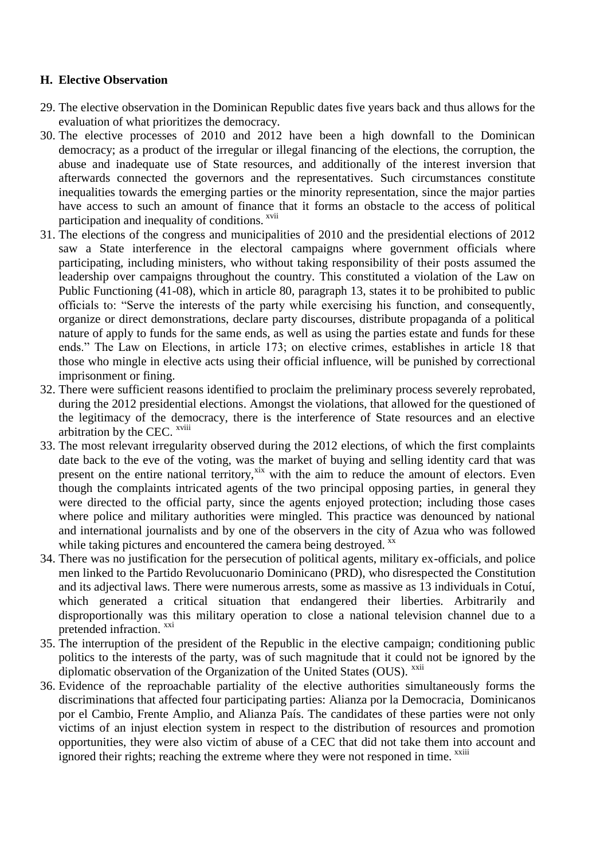## **H. Elective Observation**

- 29. The elective observation in the Dominican Republic dates five years back and thus allows for the evaluation of what prioritizes the democracy.
- 30. The elective processes of 2010 and 2012 have been a high downfall to the Dominican democracy; as a product of the irregular or illegal financing of the elections, the corruption, the abuse and inadequate use of State resources, and additionally of the interest inversion that afterwards connected the governors and the representatives. Such circumstances constitute inequalities towards the emerging parties or the minority representation, since the major parties have access to such an amount of finance that it forms an obstacle to the access of political participation and inequality of conditions. <sup>xvii</sup>
- 31. The elections of the congress and municipalities of 2010 and the presidential elections of 2012 saw a State interference in the electoral campaigns where government officials where participating, including ministers, who without taking responsibility of their posts assumed the leadership over campaigns throughout the country. This constituted a violation of the Law on Public Functioning (41-08), which in article 80, paragraph 13, states it to be prohibited to public officials to: "Serve the interests of the party while exercising his function, and consequently, organize or direct demonstrations, declare party discourses, distribute propaganda of a political nature of apply to funds for the same ends, as well as using the parties estate and funds for these ends." The Law on Elections, in article 173; on elective crimes, establishes in article 18 that those who mingle in elective acts using their official influence, will be punished by correctional imprisonment or fining.
- 32. There were sufficient reasons identified to proclaim the preliminary process severely reprobated, during the 2012 presidential elections. Amongst the violations, that allowed for the questioned of the legitimacy of the democracy, there is the interference of State resources and an elective arbitration by the CEC. xviii
- 33. The most relevant irregularity observed during the 2012 elections, of which the first complaints date back to the eve of the voting, was the market of buying and selling identity card that was present on the entire national territory,<sup>xix</sup> with the aim to reduce the amount of electors. Even though the complaints intricated agents of the two principal opposing parties, in general they were directed to the official party, since the agents enjoyed protection; including those cases where police and military authorities were mingled. This practice was denounced by national and international journalists and by one of the observers in the city of Azua who was followed while taking pictures and encountered the camera being destroyed. xx
- 34. There was no justification for the persecution of political agents, military ex-officials, and police men linked to the Partido Revolucuonario Dominicano (PRD), who disrespected the Constitution and its adjectival laws. There were numerous arrests, some as massive as 13 individuals in Cotuí, which generated a critical situation that endangered their liberties. Arbitrarily and disproportionally was this military operation to close a national television channel due to a pretended infraction. <sup>xxi</sup>
- 35. The interruption of the president of the Republic in the elective campaign; conditioning public politics to the interests of the party, was of such magnitude that it could not be ignored by the diplomatic observation of the Organization of the United States (OUS). <sup>xxii</sup>
- 36. Evidence of the reproachable partiality of the elective authorities simultaneously forms the discriminations that affected four participating parties: Alianza por la Democracia, Dominicanos por el Cambio, Frente Amplio, and Alianza País. The candidates of these parties were not only victims of an injust election system in respect to the distribution of resources and promotion opportunities, they were also victim of abuse of a CEC that did not take them into account and ignored their rights; reaching the extreme where they were not responed in time. <sup>xxiii</sup>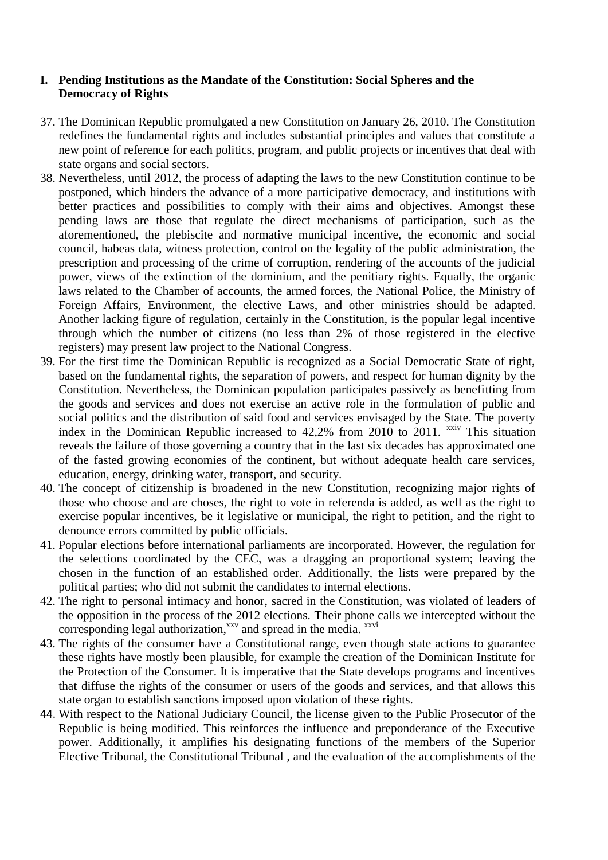# **I. Pending Institutions as the Mandate of the Constitution: Social Spheres and the Democracy of Rights**

- 37. The Dominican Republic promulgated a new Constitution on January 26, 2010. The Constitution redefines the fundamental rights and includes substantial principles and values that constitute a new point of reference for each politics, program, and public projects or incentives that deal with state organs and social sectors.
- 38. Nevertheless, until 2012, the process of adapting the laws to the new Constitution continue to be postponed, which hinders the advance of a more participative democracy, and institutions with better practices and possibilities to comply with their aims and objectives. Amongst these pending laws are those that regulate the direct mechanisms of participation, such as the aforementioned, the plebiscite and normative municipal incentive, the economic and social council, habeas data, witness protection, control on the legality of the public administration, the prescription and processing of the crime of corruption, rendering of the accounts of the judicial power, views of the extinction of the dominium, and the penitiary rights. Equally, the organic laws related to the Chamber of accounts, the armed forces, the National Police, the Ministry of Foreign Affairs, Environment, the elective Laws, and other ministries should be adapted. Another lacking figure of regulation, certainly in the Constitution, is the popular legal incentive through which the number of citizens (no less than 2% of those registered in the elective registers) may present law project to the National Congress.
- 39. For the first time the Dominican Republic is recognized as a Social Democratic State of right, based on the fundamental rights, the separation of powers, and respect for human dignity by the Constitution. Nevertheless, the Dominican population participates passively as benefitting from the goods and services and does not exercise an active role in the formulation of public and social politics and the distribution of said food and services envisaged by the State. The poverty index in the Dominican Republic increased to  $42,2%$  from 2010 to 2011. <sup>xxiv</sup> This situation reveals the failure of those governing a country that in the last six decades has approximated one of the fasted growing economies of the continent, but without adequate health care services, education, energy, drinking water, transport, and security.
- 40. The concept of citizenship is broadened in the new Constitution, recognizing major rights of those who choose and are choses, the right to vote in referenda is added, as well as the right to exercise popular incentives, be it legislative or municipal, the right to petition, and the right to denounce errors committed by public officials.
- 41. Popular elections before international parliaments are incorporated. However, the regulation for the selections coordinated by the CEC, was a dragging an proportional system; leaving the chosen in the function of an established order. Additionally, the lists were prepared by the political parties; who did not submit the candidates to internal elections.
- 42. The right to personal intimacy and honor, sacred in the Constitution, was violated of leaders of the opposition in the process of the 2012 elections. Their phone calls we intercepted without the corresponding legal authorization, $x_v$  and spread in the media.  $x_{xvi}$
- 43. The rights of the consumer have a Constitutional range, even though state actions to guarantee these rights have mostly been plausible, for example the creation of the Dominican Institute for the Protection of the Consumer. It is imperative that the State develops programs and incentives that diffuse the rights of the consumer or users of the goods and services, and that allows this state organ to establish sanctions imposed upon violation of these rights.
- 44. With respect to the National Judiciary Council, the license given to the Public Prosecutor of the Republic is being modified. This reinforces the influence and preponderance of the Executive power. Additionally, it amplifies his designating functions of the members of the Superior Elective Tribunal, the Constitutional Tribunal , and the evaluation of the accomplishments of the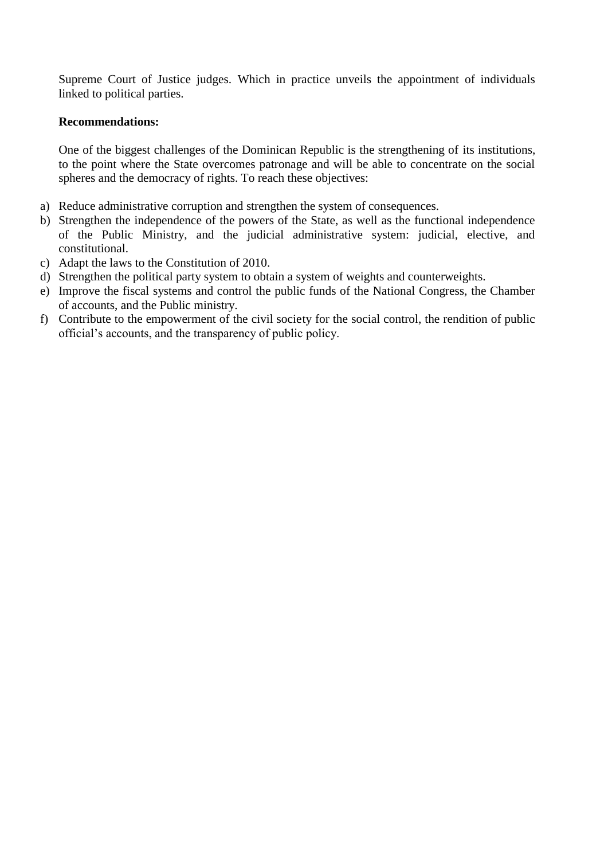Supreme Court of Justice judges. Which in practice unveils the appointment of individuals linked to political parties.

#### **Recommendations:**

One of the biggest challenges of the Dominican Republic is the strengthening of its institutions, to the point where the State overcomes patronage and will be able to concentrate on the social spheres and the democracy of rights. To reach these objectives:

- a) Reduce administrative corruption and strengthen the system of consequences.
- b) Strengthen the independence of the powers of the State, as well as the functional independence of the Public Ministry, and the judicial administrative system: judicial, elective, and constitutional.
- c) Adapt the laws to the Constitution of 2010.
- d) Strengthen the political party system to obtain a system of weights and counterweights.
- e) Improve the fiscal systems and control the public funds of the National Congress, the Chamber of accounts, and the Public ministry.
- f) Contribute to the empowerment of the civil society for the social control, the rendition of public official's accounts, and the transparency of public policy.